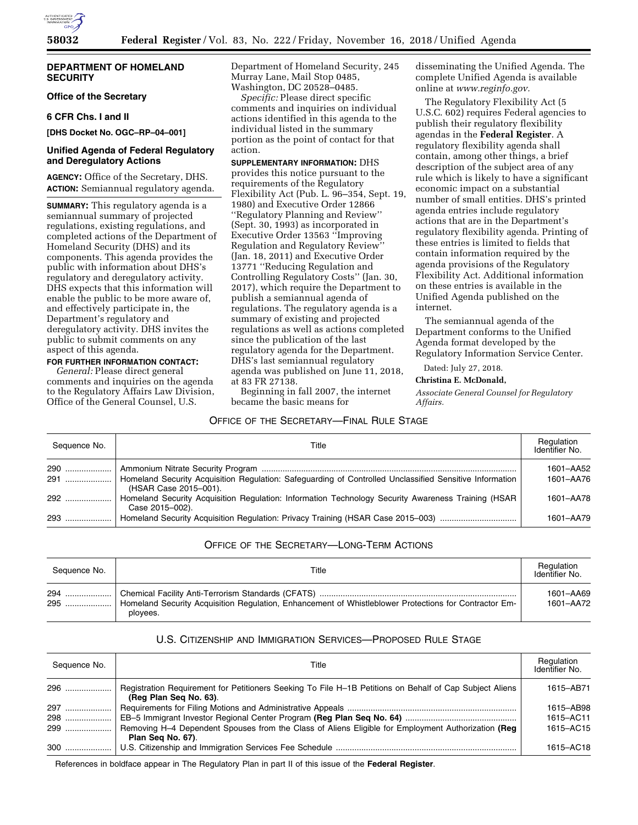

### **DEPARTMENT OF HOMELAND SECURITY**

# **Office of the Secretary**

#### **6 CFR Chs. I and II**

**[DHS Docket No. OGC–RP–04–001]** 

### **Unified Agenda of Federal Regulatory and Deregulatory Actions**

**AGENCY:** Office of the Secretary, DHS. **ACTION:** Semiannual regulatory agenda.

**SUMMARY:** This regulatory agenda is a semiannual summary of projected regulations, existing regulations, and completed actions of the Department of Homeland Security (DHS) and its components. This agenda provides the public with information about DHS's regulatory and deregulatory activity. DHS expects that this information will enable the public to be more aware of, and effectively participate in, the Department's regulatory and deregulatory activity. DHS invites the public to submit comments on any aspect of this agenda.

# **FOR FURTHER INFORMATION CONTACT:**

*General:* Please direct general comments and inquiries on the agenda to the Regulatory Affairs Law Division, Office of the General Counsel, U.S.

Department of Homeland Security, 245 Murray Lane, Mail Stop 0485, Washington, DC 20528–0485.

*Specific:* Please direct specific comments and inquiries on individual actions identified in this agenda to the individual listed in the summary portion as the point of contact for that action.

**SUPPLEMENTARY INFORMATION:** DHS provides this notice pursuant to the requirements of the Regulatory Flexibility Act (Pub. L. 96–354, Sept. 19, 1980) and Executive Order 12866 ''Regulatory Planning and Review'' (Sept. 30, 1993) as incorporated in Executive Order 13563 ''Improving Regulation and Regulatory Review'' (Jan. 18, 2011) and Executive Order 13771 ''Reducing Regulation and Controlling Regulatory Costs'' (Jan. 30, 2017), which require the Department to publish a semiannual agenda of regulations. The regulatory agenda is a summary of existing and projected regulations as well as actions completed since the publication of the last regulatory agenda for the Department. DHS's last semiannual regulatory agenda was published on June 11, 2018, at 83 FR 27138.

Beginning in fall 2007, the internet became the basic means for

disseminating the Unified Agenda. The complete Unified Agenda is available online at *[www.reginfo.gov.](http://www.reginfo.gov)* 

The Regulatory Flexibility Act (5 U.S.C. 602) requires Federal agencies to publish their regulatory flexibility agendas in the **Federal Register**. A regulatory flexibility agenda shall contain, among other things, a brief description of the subject area of any rule which is likely to have a significant economic impact on a substantial number of small entities. DHS's printed agenda entries include regulatory actions that are in the Department's regulatory flexibility agenda. Printing of these entries is limited to fields that contain information required by the agenda provisions of the Regulatory Flexibility Act. Additional information on these entries is available in the Unified Agenda published on the internet.

The semiannual agenda of the Department conforms to the Unified Agenda format developed by the Regulatory Information Service Center.

Dated: July 27, 2018.

#### **Christina E. McDonald,**

*Associate General Counsel for Regulatory Affairs.* 

# OFFICE OF THE SECRETARY—FINAL RULE STAGE

| Sequence No. | Title                                                                                                                            | Regulation<br>Identifier No. |
|--------------|----------------------------------------------------------------------------------------------------------------------------------|------------------------------|
| 290<br>291   | Homeland Security Acquisition Regulation: Safeguarding of Controlled Unclassified Sensitive Information<br>(HSAR Case 2015-001). | 1601-AA52<br>1601-AA76       |
| 292          | Homeland Security Acquisition Regulation: Information Technology Security Awareness Training (HSAR<br>Case 2015-002).            | 1601-AA78                    |
| 293          | Homeland Security Acquisition Regulation: Privacy Training (HSAR Case 2015-003)                                                  | 1601-AA79                    |

# OFFICE OF THE SECRETARY—LONG-TERM ACTIONS

| Sequence No. | Title                                                                                                                    | Regulation<br>Identifier No. |
|--------------|--------------------------------------------------------------------------------------------------------------------------|------------------------------|
|              | 1-295  Homeland Security Acquisition Regulation, Enhancement of Whistleblower Protections for Contractor Em-<br>plovees. | 1601-AA69<br>1601-AA72       |

# U.S. CITIZENSHIP AND IMMIGRATION SERVICES—PROPOSED RULE STAGE

| Sequence No. | Title                                                                                                                             | Regulation<br>Identifier No. |
|--------------|-----------------------------------------------------------------------------------------------------------------------------------|------------------------------|
| 296          | Registration Requirement for Petitioners Seeking To File H-1B Petitions on Behalf of Cap Subject Aliens<br>(Reg Plan Seg No. 63). | 1615-AB71                    |
| 297          |                                                                                                                                   | 1615-AB98                    |
| 298          |                                                                                                                                   | 1615-AC11                    |
| 299          | Removing H-4 Dependent Spouses from the Class of Aliens Eligible for Employment Authorization (Req<br>Plan Seg No. 67).           | 1615-AC15                    |
| 300          |                                                                                                                                   | 1615-AC18                    |

References in boldface appear in The Regulatory Plan in part II of this issue of the **Federal Register**.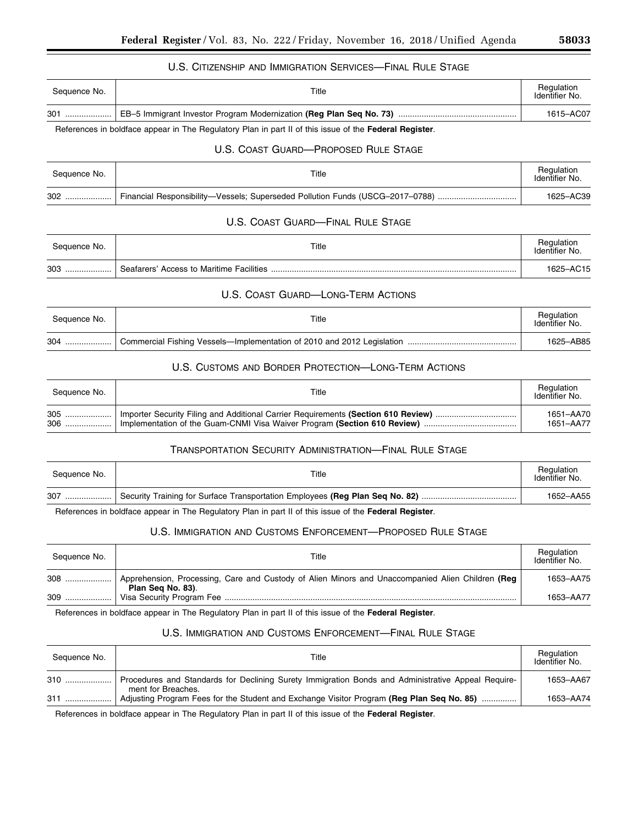# U.S. CITIZENSHIP AND IMMIGRATION SERVICES—FINAL RULE STAGE

| Sequence No. | Title                                                               | Regulation<br>Identifier No. |
|--------------|---------------------------------------------------------------------|------------------------------|
| 301          | EB-5 Immigrant Investor Program Modernization (Reg Plan Seq No. 73) | 1615-AC07                    |

# References in boldface appear in The Regulatory Plan in part II of this issue of the **Federal Register**.

# U.S. COAST GUARD—PROPOSED RULE STAGE

| Sequence No. | Title                                                                                     | Regulation<br>Identifier No. |
|--------------|-------------------------------------------------------------------------------------------|------------------------------|
|              | Financial Responsibility—Vessels; Superseded Pollution Funds (USCG-2017-0788) …………………………… | 1625-AC39                    |

# U.S. COAST GUARD—FINAL RULE STAGE

| Sequence No. | Title                                    | Regulation<br>Identifier No. |
|--------------|------------------------------------------|------------------------------|
| 303          | Seafarers' Access to Maritime Facilities | 1625-AC15                    |

# U.S. COAST GUARD—LONG-TERM ACTIONS

| Sequence No. | Title                                                                  | Regulation<br>Identifier No. |
|--------------|------------------------------------------------------------------------|------------------------------|
| 304          | Commercial Fishing Vessels—Implementation of 2010 and 2012 Legislation | 1625-AB85                    |

# U.S. CUSTOMS AND BORDER PROTECTION—LONG-TERM ACTIONS

| Sequence No. | Title | Regulation<br>Identifier No. |
|--------------|-------|------------------------------|
|              |       | 1651-AA70                    |
| $306$        |       | 1651-AA77                    |

# TRANSPORTATION SECURITY ADMINISTRATION—FINAL RULE STAGE

| Sequence No. | Title | Regulation<br>Identifier No. |
|--------------|-------|------------------------------|
| 307          |       | 1652-AA55                    |

References in boldface appear in The Regulatory Plan in part II of this issue of the **Federal Register**.

# U.S. IMMIGRATION AND CUSTOMS ENFORCEMENT—PROPOSED RULE STAGE

| Seauence No. | Title                                                                                                                 | Regulation<br>Identifier No. |
|--------------|-----------------------------------------------------------------------------------------------------------------------|------------------------------|
| 308          | Apprehension, Processing, Care and Custody of Alien Minors and Unaccompanied Alien Children (Reg<br>Plan Seg No. 83). | 1653-AA75                    |
| 309          |                                                                                                                       | 1653–AA77                    |

References in boldface appear in The Regulatory Plan in part II of this issue of the **Federal Register**.

# U.S. IMMIGRATION AND CUSTOMS ENFORCEMENT—FINAL RULE STAGE

| Sequence No. | Title                                                                                                                    | Regulation<br>Identifier No. |
|--------------|--------------------------------------------------------------------------------------------------------------------------|------------------------------|
| 310          | Procedures and Standards for Declining Surety Immigration Bonds and Administrative Appeal Require-<br>ment for Breaches. | 1653-AA67                    |
| 311          | Adjusting Program Fees for the Student and Exchange Visitor Program (Reg Plan Seq No. 85)                                | 1653-AA74                    |

References in boldface appear in The Regulatory Plan in part II of this issue of the **Federal Register**.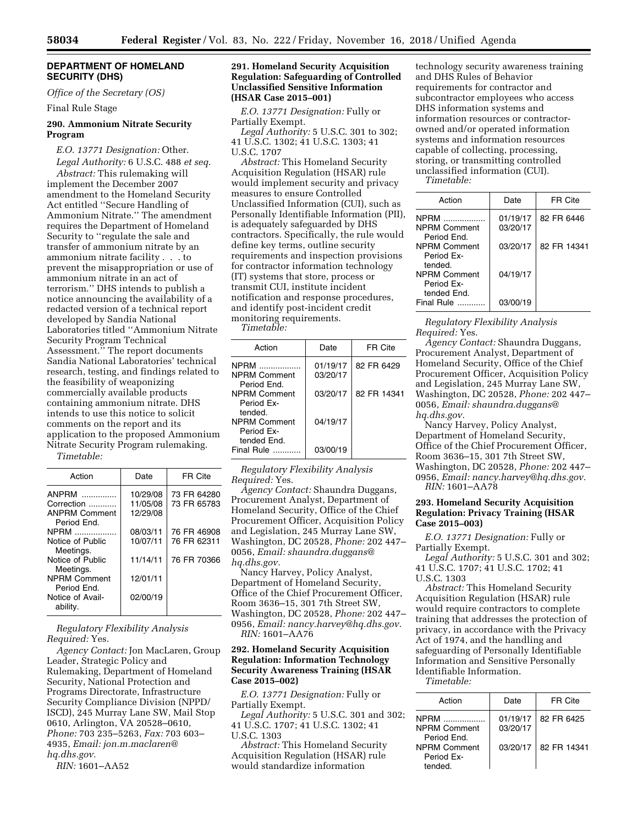## **DEPARTMENT OF HOMELAND SECURITY (DHS)**

*Office of the Secretary (OS)* 

Final Rule Stage

## **290. Ammonium Nitrate Security Program**

*E.O. 13771 Designation:* Other. *Legal Authority:* 6 U.S.C. 488 *et seq.* 

*Abstract:* This rulemaking will implement the December 2007 amendment to the Homeland Security Act entitled ''Secure Handling of Ammonium Nitrate.'' The amendment requires the Department of Homeland Security to ''regulate the sale and transfer of ammonium nitrate by an ammonium nitrate facility . . . to prevent the misappropriation or use of ammonium nitrate in an act of terrorism.'' DHS intends to publish a notice announcing the availability of a redacted version of a technical report developed by Sandia National Laboratories titled ''Ammonium Nitrate Security Program Technical Assessment.'' The report documents Sandia National Laboratories' technical research, testing, and findings related to the feasibility of weaponizing commercially available products containing ammonium nitrate. DHS intends to use this notice to solicit comments on the report and its application to the proposed Ammonium Nitrate Security Program rulemaking.

*Timetable:* 

| Action               | Date     | FR Cite     |
|----------------------|----------|-------------|
| ANPRM                | 10/29/08 | 73 FR 64280 |
| Correction           | 11/05/08 | 73 FR 65783 |
| <b>ANPRM Comment</b> | 12/29/08 |             |
| Period Fnd.          |          |             |
| <b>NPRM</b>          | 08/03/11 | 76 FR 46908 |
| Notice of Public     | 10/07/11 | 76 FR 62311 |
| Meetings.            |          |             |
| Notice of Public     | 11/14/11 | 76 FR 70366 |
| Meetings.            |          |             |
| <b>NPRM Comment</b>  | 12/01/11 |             |
| Period End.          |          |             |
| Notice of Avail-     | 02/00/19 |             |
| ability.             |          |             |
|                      |          |             |

*Regulatory Flexibility Analysis Required:* Yes.

*Agency Contact:* Jon MacLaren, Group Leader, Strategic Policy and Rulemaking, Department of Homeland Security, National Protection and Programs Directorate, Infrastructure Security Compliance Division (NPPD/ ISCD), 245 Murray Lane SW, Mail Stop 0610, Arlington, VA 20528–0610, *Phone:* 703 235–5263, *Fax:* 703 603– 4935, *Email: [jon.m.maclaren@](mailto:jon.m.maclaren@hq.dhs.gov) [hq.dhs.gov.](mailto:jon.m.maclaren@hq.dhs.gov)* 

*RIN:* 1601–AA52

## **291. Homeland Security Acquisition Regulation: Safeguarding of Controlled Unclassified Sensitive Information (HSAR Case 2015–001)**

*E.O. 13771 Designation:* Fully or Partially Exempt.

*Legal Authority:* 5 U.S.C. 301 to 302; 41 U.S.C. 1302; 41 U.S.C. 1303; 41 U.S.C. 1707

*Abstract:* This Homeland Security Acquisition Regulation (HSAR) rule would implement security and privacy measures to ensure Controlled Unclassified Information (CUI), such as Personally Identifiable Information (PII), is adequately safeguarded by DHS contractors. Specifically, the rule would define key terms, outline security requirements and inspection provisions for contractor information technology (IT) systems that store, process or transmit CUI, institute incident notification and response procedures, and identify post-incident credit monitoring requirements.

*Timetable:* 

| Action                                            | Date                 | FR Cite     |
|---------------------------------------------------|----------------------|-------------|
| <b>NPRM</b><br><b>NPRM Comment</b><br>Period End. | 01/19/17<br>03/20/17 | 82 FR 6429  |
| <b>NPRM Comment</b><br>Period Ex-<br>tended.      | 03/20/17             | 82 FR 14341 |
| <b>NPRM Comment</b><br>Period Fx-<br>tended Fnd.  | 04/19/17             |             |
| Final Rule                                        | 03/00/19             |             |

*Regulatory Flexibility Analysis Required:* Yes.

*Agency Contact:* Shaundra Duggans, Procurement Analyst, Department of Homeland Security, Office of the Chief Procurement Officer, Acquisition Policy and Legislation, 245 Murray Lane SW, Washington, DC 20528, *Phone:* 202 447– 0056, *Email: [shaundra.duggans@](mailto:shaundra.duggans@hq.dhs.gov) [hq.dhs.gov.](mailto:shaundra.duggans@hq.dhs.gov)* 

Nancy Harvey, Policy Analyst, Department of Homeland Security, Office of the Chief Procurement Officer, Room 3636–15, 301 7th Street SW, Washington, DC 20528, *Phone:* 202 447– 0956, *Email: [nancy.harvey@hq.dhs.gov.](mailto:nancy.harvey@hq.dhs.gov)  RIN:* 1601–AA76

### **292. Homeland Security Acquisition Regulation: Information Technology Security Awareness Training (HSAR Case 2015–002)**

*E.O. 13771 Designation:* Fully or Partially Exempt.

*Legal Authority:* 5 U.S.C. 301 and 302; 41 U.S.C. 1707; 41 U.S.C. 1302; 41 U.S.C. 1303

*Abstract:* This Homeland Security Acquisition Regulation (HSAR) rule would standardize information

technology security awareness training and DHS Rules of Behavior requirements for contractor and subcontractor employees who access DHS information systems and information resources or contractorowned and/or operated information systems and information resources capable of collecting, processing, storing, or transmitting controlled unclassified information (CUI).

*Timetable:* 

| Action                                            | Date                 | FR Cite     |
|---------------------------------------------------|----------------------|-------------|
| <b>NPRM</b><br><b>NPRM Comment</b><br>Period Fnd. | 01/19/17<br>03/20/17 | 82 FR 6446  |
| <b>NPRM Comment</b><br>Period Fx-<br>tended.      | 03/20/17             | 82 FR 14341 |
| <b>NPRM Comment</b><br>Period Fx-<br>tended Fnd.  | 04/19/17             |             |
| Final Rule                                        | 03/00/19             |             |

*Regulatory Flexibility Analysis Required:* Yes.

*Agency Contact:* Shaundra Duggans, Procurement Analyst, Department of Homeland Security, Office of the Chief Procurement Officer, Acquisition Policy and Legislation, 245 Murray Lane SW, Washington, DC 20528, *Phone:* 202 447– 0056, *Email: [shaundra.duggans@](mailto:shaundra.duggans@hq.dhs.gov) [hq.dhs.gov.](mailto:shaundra.duggans@hq.dhs.gov)* 

Nancy Harvey, Policy Analyst, Department of Homeland Security, Office of the Chief Procurement Officer, Room 3636–15, 301 7th Street SW, Washington, DC 20528, *Phone:* 202 447– 0956, *Email: [nancy.harvey@hq.dhs.gov.](mailto:nancy.harvey@hq.dhs.gov)  RIN:* 1601–AA78

# **293. Homeland Security Acquisition Regulation: Privacy Training (HSAR Case 2015–003)**

*E.O. 13771 Designation:* Fully or Partially Exempt.

*Legal Authority:* 5 U.S.C. 301 and 302; 41 U.S.C. 1707; 41 U.S.C. 1702; 41 U.S.C. 1303

*Abstract:* This Homeland Security Acquisition Regulation (HSAR) rule would require contractors to complete training that addresses the protection of privacy, in accordance with the Privacy Act of 1974, and the handling and safeguarding of Personally Identifiable Information and Sensitive Personally Identifiable Information.

*Timetable:* 

| Action                                            | Date                 | FR Cite     |
|---------------------------------------------------|----------------------|-------------|
| <b>NPRM</b><br><b>NPRM Comment</b><br>Period Fnd. | 01/19/17<br>03/20/17 | 82 FR 6425  |
| <b>NPRM Comment</b><br>Period Fx-<br>tended.      | 03/20/17             | 82 FR 14341 |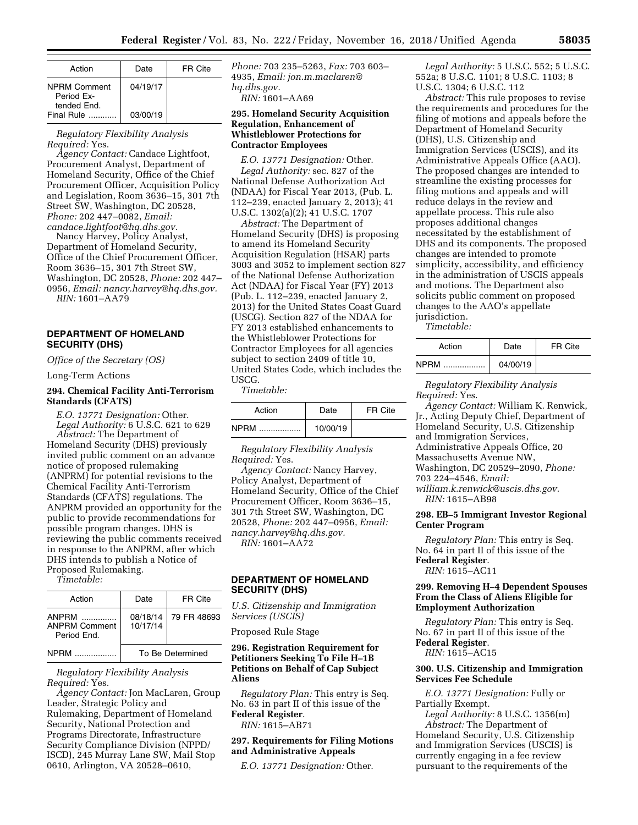| Action                                           | Date     | FR Cite |
|--------------------------------------------------|----------|---------|
| <b>NPRM Comment</b><br>Period Fx-<br>tended End. | 04/19/17 |         |
| Final Rule                                       | 03/00/19 |         |

*Regulatory Flexibility Analysis Required:* Yes.

*Agency Contact:* Candace Lightfoot, Procurement Analyst, Department of Homeland Security, Office of the Chief Procurement Officer, Acquisition Policy and Legislation, Room 3636–15, 301 7th Street SW, Washington, DC 20528, *Phone:* 202 447–0082, *Email: [candace.lightfoot@hq.dhs.gov.](mailto:candace.lightfoot@hq.dhs.gov)* 

Nancy Harvey, Policy Analyst, Department of Homeland Security, Office of the Chief Procurement Officer, Room 3636–15, 301 7th Street SW, Washington, DC 20528, *Phone:* 202 447– 0956, *Email: [nancy.harvey@hq.dhs.gov.](mailto:nancy.harvey@hq.dhs.gov)  RIN:* 1601–AA79

# **DEPARTMENT OF HOMELAND SECURITY (DHS)**

*Office of the Secretary (OS)* 

Long-Term Actions

# **294. Chemical Facility Anti-Terrorism Standards (CFATS)**

*E.O. 13771 Designation:* Other. *Legal Authority:* 6 U.S.C. 621 to 629 *Abstract:* The Department of Homeland Security (DHS) previously invited public comment on an advance notice of proposed rulemaking (ANPRM) for potential revisions to the Chemical Facility Anti-Terrorism Standards (CFATS) regulations. The ANPRM provided an opportunity for the public to provide recommendations for possible program changes. DHS is reviewing the public comments received in response to the ANPRM, after which DHS intends to publish a Notice of Proposed Rulemaking.

*Timetable:* 

| Action                                       | Date                 | FR Cite     |
|----------------------------------------------|----------------------|-------------|
| ANPRM<br><b>ANPRM Comment</b><br>Period Fnd. | 08/18/14<br>10/17/14 | 79 FR 48693 |
| <b>NPRM</b>                                  | To Be Determined     |             |

### *Regulatory Flexibility Analysis Required:* Yes.

*Agency Contact:* Jon MacLaren, Group Leader, Strategic Policy and Rulemaking, Department of Homeland Security, National Protection and Programs Directorate, Infrastructure Security Compliance Division (NPPD/ ISCD), 245 Murray Lane SW, Mail Stop 0610, Arlington, VA 20528–0610,

*Phone:* 703 235–5263, *Fax:* 703 603– 4935, *Email: [jon.m.maclaren@](mailto:jon.m.maclaren@hq.dhs.gov) [hq.dhs.gov.](mailto:jon.m.maclaren@hq.dhs.gov) RIN:* 1601–AA69

# **295. Homeland Security Acquisition Regulation, Enhancement of Whistleblower Protections for Contractor Employees**

*E.O. 13771 Designation:* Other. *Legal Authority:* sec. 827 of the National Defense Authorization Act (NDAA) for Fiscal Year 2013, (Pub. L. 112–239, enacted January 2, 2013); 41 U.S.C. 1302(a)(2); 41 U.S.C. 1707

*Abstract:* The Department of Homeland Security (DHS) is proposing to amend its Homeland Security Acquisition Regulation (HSAR) parts 3003 and 3052 to implement section 827 of the National Defense Authorization Act (NDAA) for Fiscal Year (FY) 2013 (Pub. L. 112–239, enacted January 2, 2013) for the United States Coast Guard (USCG). Section 827 of the NDAA for FY 2013 established enhancements to the Whistleblower Protections for Contractor Employees for all agencies subject to section 2409 of title 10, United States Code, which includes the USCG.

*Timetable:* 

| Action   | Date     | FR Cite |
|----------|----------|---------|
| NPRM<br> | 10/00/19 |         |

*Regulatory Flexibility Analysis Required:* Yes.

*Agency Contact:* Nancy Harvey, Policy Analyst, Department of Homeland Security, Office of the Chief Procurement Officer, Room 3636–15, 301 7th Street SW, Washington, DC 20528, *Phone:* 202 447–0956, *Email: [nancy.harvey@hq.dhs.gov.](mailto:nancy.harvey@hq.dhs.gov) RIN:* 1601–AA72

# **DEPARTMENT OF HOMELAND SECURITY (DHS)**

*U.S. Citizenship and Immigration Services (USCIS)* 

Proposed Rule Stage

**296. Registration Requirement for Petitioners Seeking To File H–1B Petitions on Behalf of Cap Subject Aliens** 

*Regulatory Plan:* This entry is Seq. No. 63 in part II of this issue of the **Federal Register**. *RIN:* 1615–AB71

# **297. Requirements for Filing Motions and Administrative Appeals**

*E.O. 13771 Designation:* Other.

*Legal Authority:* 5 U.S.C. 552; 5 U.S.C. 552a; 8 U.S.C. 1101; 8 U.S.C. 1103; 8 U.S.C. 1304; 6 U.S.C. 112

*Abstract:* This rule proposes to revise the requirements and procedures for the filing of motions and appeals before the Department of Homeland Security (DHS), U.S. Citizenship and Immigration Services (USCIS), and its Administrative Appeals Office (AAO). The proposed changes are intended to streamline the existing processes for filing motions and appeals and will reduce delays in the review and appellate process. This rule also proposes additional changes necessitated by the establishment of DHS and its components. The proposed changes are intended to promote simplicity, accessibility, and efficiency in the administration of USCIS appeals and motions. The Department also solicits public comment on proposed changes to the AAO's appellate jurisdiction.

*Timetable:* 

| Action | Date     | FR Cite |
|--------|----------|---------|
| NPRM   | 04/00/19 |         |

*Regulatory Flexibility Analysis Required:* Yes.

*Agency Contact:* William K. Renwick, Jr., Acting Deputy Chief, Department of Homeland Security, U.S. Citizenship and Immigration Services, Administrative Appeals Office, 20 Massachusetts Avenue NW, Washington, DC 20529–2090, *Phone:*  703 224–4546, *Email: [william.k.renwick@uscis.dhs.gov.](mailto:william.k.renwick@uscis.dhs.gov)* 

*RIN:* 1615–AB98

# **298. EB–5 Immigrant Investor Regional Center Program**

*Regulatory Plan:* This entry is Seq. No. 64 in part II of this issue of the **Federal Register**.

*RIN:* 1615–AC11

#### **299. Removing H–4 Dependent Spouses From the Class of Aliens Eligible for Employment Authorization**

*Regulatory Plan:* This entry is Seq. No. 67 in part II of this issue of the **Federal Register**.

*RIN:* 1615–AC15

### **300. U.S. Citizenship and Immigration Services Fee Schedule**

*E.O. 13771 Designation:* Fully or Partially Exempt.

*Legal Authority:* 8 U.S.C. 1356(m) *Abstract:* The Department of

Homeland Security, U.S. Citizenship and Immigration Services (USCIS) is currently engaging in a fee review pursuant to the requirements of the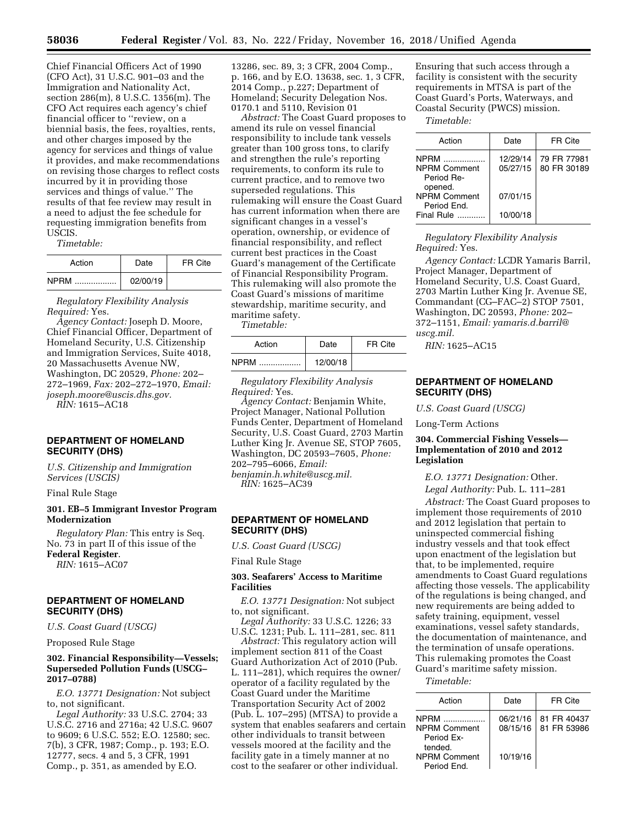Chief Financial Officers Act of 1990 (CFO Act), 31 U.S.C. 901–03 and the Immigration and Nationality Act, section 286(m), 8 U.S.C. 1356(m). The CFO Act requires each agency's chief financial officer to ''review, on a biennial basis, the fees, royalties, rents, and other charges imposed by the agency for services and things of value it provides, and make recommendations on revising those charges to reflect costs incurred by it in providing those services and things of value.'' The results of that fee review may result in a need to adjust the fee schedule for requesting immigration benefits from USCIS.

*Timetable:* 

| Action      | Date     | FR Cite |
|-------------|----------|---------|
| <b>NPRM</b> | 02/00/19 |         |

*Regulatory Flexibility Analysis Required:* Yes.

*Agency Contact:* Joseph D. Moore, Chief Financial Officer, Department of Homeland Security, U.S. Citizenship and Immigration Services, Suite 4018, 20 Massachusetts Avenue NW, Washington, DC 20529, *Phone:* 202– 272–1969, *Fax:* 202–272–1970, *Email: [joseph.moore@uscis.dhs.gov.](mailto:joseph.moore@uscis.dhs.gov)* 

*RIN:* 1615–AC18

# **DEPARTMENT OF HOMELAND SECURITY (DHS)**

*U.S. Citizenship and Immigration Services (USCIS)* 

Final Rule Stage

# **301. EB–5 Immigrant Investor Program Modernization**

*Regulatory Plan:* This entry is Seq. No. 73 in part II of this issue of the **Federal Register**.

*RIN:* 1615–AC07

# **DEPARTMENT OF HOMELAND SECURITY (DHS)**

*U.S. Coast Guard (USCG)* 

Proposed Rule Stage

### **302. Financial Responsibility—Vessels; Superseded Pollution Funds (USCG– 2017–0788)**

*E.O. 13771 Designation:* Not subject to, not significant.

*Legal Authority:* 33 U.S.C. 2704; 33 U.S.C. 2716 and 2716a; 42 U.S.C. 9607 to 9609; 6 U.S.C. 552; E.O. 12580; sec. 7(b), 3 CFR, 1987; Comp., p. 193; E.O. 12777, secs. 4 and 5, 3 CFR, 1991 Comp., p. 351, as amended by E.O.

13286, sec. 89, 3; 3 CFR, 2004 Comp., p. 166, and by E.O. 13638, sec. 1, 3 CFR, 2014 Comp., p.227; Department of Homeland; Security Delegation Nos. 0170.1 and 5110, Revision 01

*Abstract:* The Coast Guard proposes to amend its rule on vessel financial responsibility to include tank vessels greater than 100 gross tons, to clarify and strengthen the rule's reporting requirements, to conform its rule to current practice, and to remove two superseded regulations. This rulemaking will ensure the Coast Guard has current information when there are significant changes in a vessel's operation, ownership, or evidence of financial responsibility, and reflect current best practices in the Coast Guard's management of the Certificate of Financial Responsibility Program. This rulemaking will also promote the Coast Guard's missions of maritime stewardship, maritime security, and maritime safety.

*Timetable:* 

| Action | Date     | FR Cite |
|--------|----------|---------|
| NPRM   | 12/00/18 |         |

*Regulatory Flexibility Analysis Required:* Yes.

*Agency Contact:* Benjamin White, Project Manager, National Pollution Funds Center, Department of Homeland Security, U.S. Coast Guard, 2703 Martin Luther King Jr. Avenue SE, STOP 7605, Washington, DC 20593–7605, *Phone:*  202–795–6066, *Email: [benjamin.h.white@uscg.mil.](mailto:benjamin.h.white@uscg.mil)  RIN:* 1625–AC39

# **DEPARTMENT OF HOMELAND SECURITY (DHS)**

*U.S. Coast Guard (USCG)* 

#### Final Rule Stage

# **303. Seafarers' Access to Maritime Facilities**

*E.O. 13771 Designation:* Not subject to, not significant.

*Legal Authority:* 33 U.S.C. 1226; 33 U.S.C. 1231; Pub. L. 111–281, sec. 811

*Abstract:* This regulatory action will implement section 811 of the Coast Guard Authorization Act of 2010 (Pub. L. 111–281), which requires the owner/ operator of a facility regulated by the Coast Guard under the Maritime Transportation Security Act of 2002 (Pub. L. 107–295) (MTSA) to provide a system that enables seafarers and certain other individuals to transit between vessels moored at the facility and the facility gate in a timely manner at no cost to the seafarer or other individual.

Ensuring that such access through a facility is consistent with the security requirements in MTSA is part of the Coast Guard's Ports, Waterways, and Coastal Security (PWCS) mission.

*Timetable:* 

| Action                                           | Date                 | <b>FR Cite</b>             |
|--------------------------------------------------|----------------------|----------------------------|
| <b>NPRM</b><br><b>NPRM Comment</b><br>Period Re- | 12/29/14<br>05/27/15 | 79 FR 77981<br>80 FR 30189 |
| opened.<br><b>NPRM Comment</b><br>Period End.    | 07/01/15             |                            |
| Final Rule                                       | 10/00/18             |                            |

*Regulatory Flexibility Analysis Required:* Yes.

*Agency Contact:* LCDR Yamaris Barril, Project Manager, Department of Homeland Security, U.S. Coast Guard, 2703 Martin Luther King Jr. Avenue SE, Commandant (CG–FAC–2) STOP 7501, Washington, DC 20593, *Phone:* 202– 372–1151, *Email: [yamaris.d.barril@](mailto:yamaris.d.barril@uscg.mil) [uscg.mil.](mailto:yamaris.d.barril@uscg.mil)* 

*RIN:* 1625–AC15

# **DEPARTMENT OF HOMELAND SECURITY (DHS)**

*U.S. Coast Guard (USCG)* 

Long-Term Actions

# **304. Commercial Fishing Vessels— Implementation of 2010 and 2012 Legislation**

*E.O. 13771 Designation:* Other.

*Legal Authority:* Pub. L. 111–281

*Abstract:* The Coast Guard proposes to implement those requirements of 2010 and 2012 legislation that pertain to uninspected commercial fishing industry vessels and that took effect upon enactment of the legislation but that, to be implemented, require amendments to Coast Guard regulations affecting those vessels. The applicability of the regulations is being changed, and new requirements are being added to safety training, equipment, vessel examinations, vessel safety standards, the documentation of maintenance, and the termination of unsafe operations. This rulemaking promotes the Coast Guard's maritime safety mission.

*Timetable:* 

| Action                                                      | Date                 | FR Cite                    |
|-------------------------------------------------------------|----------------------|----------------------------|
| NPRM <b>New Struck</b><br><b>NPRM Comment</b><br>Period Ex- | 06/21/16<br>08/15/16 | 81 FR 40437<br>81 FR 53986 |
| tended.<br><b>NPRM Comment</b><br>Period Fnd.               | 10/19/16             |                            |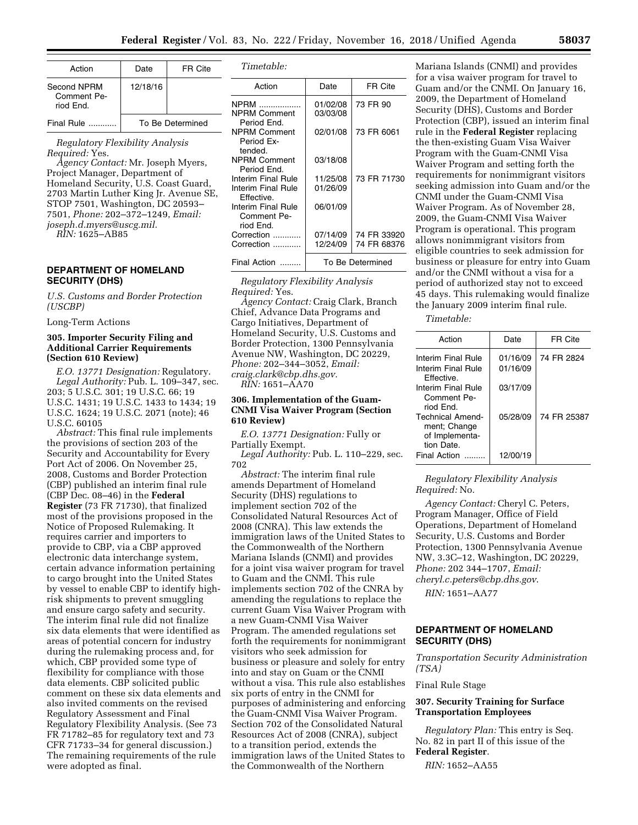| Action                                  | Date             | FR Cite |
|-----------------------------------------|------------------|---------|
| Second NPRM<br>Comment Pe-<br>riod Fnd. | 12/18/16         |         |
| Final Rule                              | To Be Determined |         |

*Regulatory Flexibility Analysis Required:* Yes.

*Agency Contact:* Mr. Joseph Myers, Project Manager, Department of Homeland Security, U.S. Coast Guard, 2703 Martin Luther King Jr. Avenue SE, STOP 7501, Washington, DC 20593– 7501, *Phone:* 202–372–1249, *Email: [joseph.d.myers@uscg.mil.](mailto:joseph.d.myers@uscg.mil)* 

*RIN:* 1625–AB85

# **DEPARTMENT OF HOMELAND SECURITY (DHS)**

*U.S. Customs and Border Protection (USCBP)* 

Long-Term Actions

# **305. Importer Security Filing and Additional Carrier Requirements (Section 610 Review)**

*E.O. 13771 Designation:* Regulatory. *Legal Authority:* Pub. L. 109–347, sec. 203; 5 U.S.C. 301; 19 U.S.C. 66; 19 U.S.C. 1431; 19 U.S.C. 1433 to 1434; 19 U.S.C. 1624; 19 U.S.C. 2071 (note); 46 U.S.C. 60105

*Abstract:* This final rule implements the provisions of section 203 of the Security and Accountability for Every Port Act of 2006. On November 25, 2008, Customs and Border Protection (CBP) published an interim final rule (CBP Dec. 08–46) in the **Federal Register** (73 FR 71730), that finalized most of the provisions proposed in the Notice of Proposed Rulemaking. It requires carrier and importers to provide to CBP, via a CBP approved electronic data interchange system, certain advance information pertaining to cargo brought into the United States by vessel to enable CBP to identify highrisk shipments to prevent smuggling and ensure cargo safety and security. The interim final rule did not finalize six data elements that were identified as areas of potential concern for industry during the rulemaking process and, for which, CBP provided some type of flexibility for compliance with those data elements. CBP solicited public comment on these six data elements and also invited comments on the revised Regulatory Assessment and Final Regulatory Flexibility Analysis. (See 73 FR 71782–85 for regulatory text and 73 CFR 71733–34 for general discussion.) The remaining requirements of the rule were adopted as final.

| Timetable: |  |  |
|------------|--|--|
|            |  |  |

| Action                                                 | Date                 | FR Cite                    |
|--------------------------------------------------------|----------------------|----------------------------|
| NPRM<br>NPRM Comment<br>Period End.                    | 01/02/08<br>03/03/08 | 73 FR 90                   |
| NPRM Comment<br>Period Ex-<br>tended.                  | 02/01/08             | 73 FR 6061                 |
| NPRM Comment<br>Period End.                            | 03/18/08             |                            |
| Interim Final Rule<br>Interim Final Rule<br>Effective. | 11/25/08<br>01/26/09 | 73 FR 71730                |
| Interim Final Rule<br>Comment Pe-<br>riod End.         | 06/01/09             |                            |
| Correction<br>Correction                               | 07/14/09<br>12/24/09 | 74 FR 33920<br>74 FR 68376 |
| Final Action                                           |                      | To Be Determined           |

*Regulatory Flexibility Analysis Required:* Yes. *Agency Contact:* Craig Clark, Branch Chief, Advance Data Programs and Cargo Initiatives, Department of

Homeland Security, U.S. Customs and Border Protection, 1300 Pennsylvania Avenue NW, Washington, DC 20229, *Phone:* 202–344–3052, *Email: [craig.clark@cbp.dhs.gov.](mailto:craig.clark@cbp.dhs.gov)* 

*RIN:* 1651–AA70

# **306. Implementation of the Guam-CNMI Visa Waiver Program (Section 610 Review)**

*E.O. 13771 Designation:* Fully or Partially Exempt.

*Legal Authority:* Pub. L. 110–229, sec. 702

*Abstract:* The interim final rule amends Department of Homeland Security (DHS) regulations to implement section 702 of the Consolidated Natural Resources Act of 2008 (CNRA). This law extends the immigration laws of the United States to the Commonwealth of the Northern Mariana Islands (CNMI) and provides for a joint visa waiver program for travel to Guam and the CNMI. This rule implements section 702 of the CNRA by amending the regulations to replace the current Guam Visa Waiver Program with a new Guam-CNMI Visa Waiver Program. The amended regulations set forth the requirements for nonimmigrant visitors who seek admission for business or pleasure and solely for entry into and stay on Guam or the CNMI without a visa. This rule also establishes six ports of entry in the CNMI for purposes of administering and enforcing the Guam-CNMI Visa Waiver Program. Section 702 of the Consolidated Natural Resources Act of 2008 (CNRA), subject to a transition period, extends the immigration laws of the United States to the Commonwealth of the Northern

Mariana Islands (CNMI) and provides for a visa waiver program for travel to Guam and/or the CNMI. On January 16, 2009, the Department of Homeland Security (DHS), Customs and Border Protection (CBP), issued an interim final rule in the **Federal Register** replacing the then-existing Guam Visa Waiver Program with the Guam-CNMI Visa Waiver Program and setting forth the requirements for nonimmigrant visitors seeking admission into Guam and/or the CNMI under the Guam-CNMI Visa Waiver Program. As of November 28, 2009, the Guam-CNMI Visa Waiver Program is operational. This program allows nonimmigrant visitors from eligible countries to seek admission for business or pleasure for entry into Guam and/or the CNMI without a visa for a period of authorized stay not to exceed 45 days. This rulemaking would finalize the January 2009 interim final rule.

*Timetable:* 

| Action                                                                  | Date     | FR Cite     |
|-------------------------------------------------------------------------|----------|-------------|
| Interim Final Rule                                                      | 01/16/09 | 74 FR 2824  |
| Interim Final Rule<br>Fffective.                                        | 01/16/09 |             |
| Interim Final Rule<br>Comment Pe-<br>riod Fnd.                          | 03/17/09 |             |
| <b>Technical Amend-</b><br>ment; Change<br>of Implementa-<br>tion Date. | 05/28/09 | 74 FR 25387 |
| <b>Final Action</b>                                                     | 12/00/19 |             |

*Regulatory Flexibility Analysis Required:* No.

*Agency Contact:* Cheryl C. Peters, Program Manager, Office of Field Operations, Department of Homeland Security, U.S. Customs and Border Protection, 1300 Pennsylvania Avenue NW, 3.3C–12, Washington, DC 20229, *Phone:* 202 344–1707, *Email: [cheryl.c.peters@cbp.dhs.gov](mailto:cheryl.c.peters@cbp.dhs.gov)*.

*RIN:* 1651–AA77

# **DEPARTMENT OF HOMELAND SECURITY (DHS)**

*Transportation Security Administration (TSA)* 

Final Rule Stage

# **307. Security Training for Surface Transportation Employees**

*Regulatory Plan:* This entry is Seq. No. 82 in part II of this issue of the **Federal Register**.

*RIN:* 1652–AA55